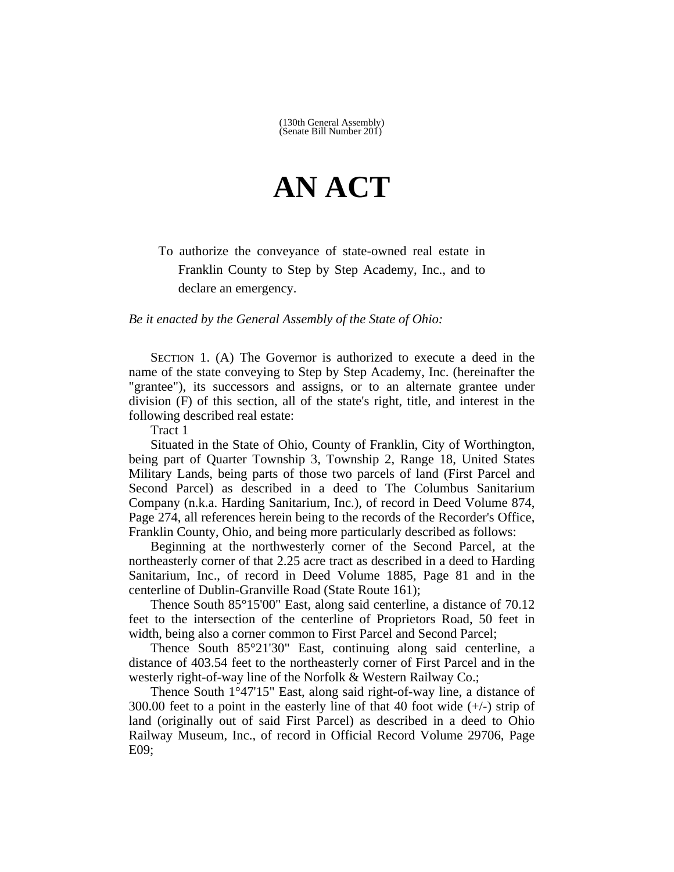## **AN ACT**

To authorize the conveyance of state-owned real estate in Franklin County to Step by Step Academy, Inc., and to declare an emergency.

*Be it enacted by the General Assembly of the State of Ohio:*

SECTION 1. (A) The Governor is authorized to execute a deed in the name of the state conveying to Step by Step Academy, Inc. (hereinafter the "grantee"), its successors and assigns, or to an alternate grantee under division (F) of this section, all of the state's right, title, and interest in the following described real estate:

Tract 1

Situated in the State of Ohio, County of Franklin, City of Worthington, being part of Quarter Township 3, Township 2, Range 18, United States Military Lands, being parts of those two parcels of land (First Parcel and Second Parcel) as described in a deed to The Columbus Sanitarium Company (n.k.a. Harding Sanitarium, Inc.), of record in Deed Volume 874, Page 274, all references herein being to the records of the Recorder's Office, Franklin County, Ohio, and being more particularly described as follows:

Beginning at the northwesterly corner of the Second Parcel, at the northeasterly corner of that 2.25 acre tract as described in a deed to Harding Sanitarium, Inc., of record in Deed Volume 1885, Page 81 and in the centerline of Dublin-Granville Road (State Route 161);

Thence South 85°15'00" East, along said centerline, a distance of 70.12 feet to the intersection of the centerline of Proprietors Road, 50 feet in width, being also a corner common to First Parcel and Second Parcel;

Thence South 85°21'30" East, continuing along said centerline, a distance of 403.54 feet to the northeasterly corner of First Parcel and in the westerly right-of-way line of the Norfolk & Western Railway Co.;

Thence South 1°47'15" East, along said right-of-way line, a distance of 300.00 feet to a point in the easterly line of that 40 foot wide  $(+/-)$  strip of land (originally out of said First Parcel) as described in a deed to Ohio Railway Museum, Inc., of record in Official Record Volume 29706, Page E09;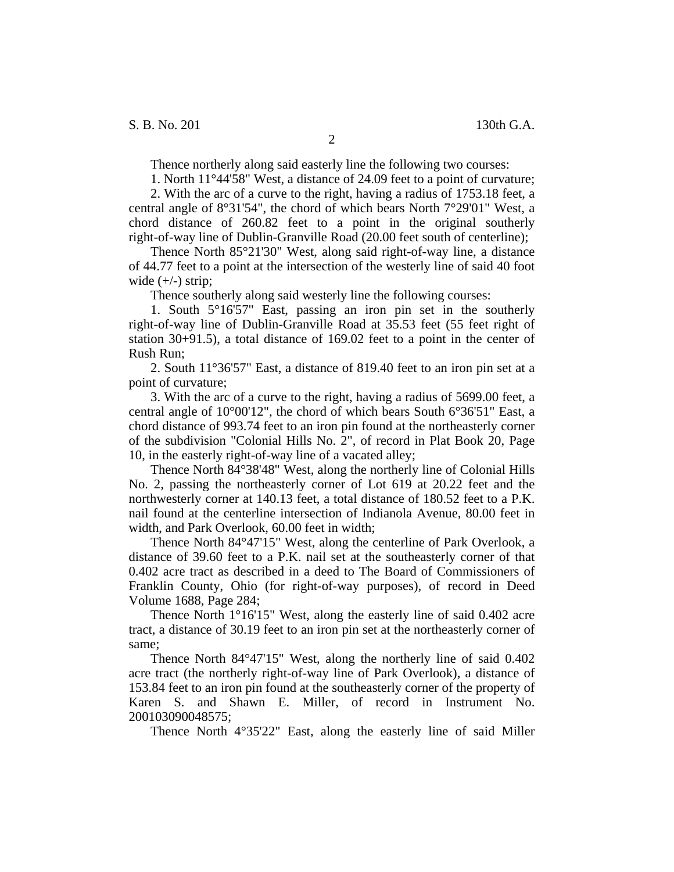Thence northerly along said easterly line the following two courses:

1. North 11°44'58" West, a distance of 24.09 feet to a point of curvature;

2. With the arc of a curve to the right, having a radius of 1753.18 feet, a central angle of 8°31'54", the chord of which bears North 7°29'01" West, a chord distance of 260.82 feet to a point in the original southerly right-of-way line of Dublin-Granville Road (20.00 feet south of centerline);

Thence North 85°21'30" West, along said right-of-way line, a distance of 44.77 feet to a point at the intersection of the westerly line of said 40 foot wide  $(+/-)$  strip;

Thence southerly along said westerly line the following courses:

1. South 5°16'57" East, passing an iron pin set in the southerly right-of-way line of Dublin-Granville Road at 35.53 feet (55 feet right of station 30+91.5), a total distance of 169.02 feet to a point in the center of Rush Run;

2. South 11°36'57" East, a distance of 819.40 feet to an iron pin set at a point of curvature;

3. With the arc of a curve to the right, having a radius of 5699.00 feet, a central angle of 10°00'12", the chord of which bears South 6°36'51" East, a chord distance of 993.74 feet to an iron pin found at the northeasterly corner of the subdivision "Colonial Hills No. 2", of record in Plat Book 20, Page 10, in the easterly right-of-way line of a vacated alley;

Thence North 84°38'48" West, along the northerly line of Colonial Hills No. 2, passing the northeasterly corner of Lot 619 at 20.22 feet and the northwesterly corner at 140.13 feet, a total distance of 180.52 feet to a P.K. nail found at the centerline intersection of Indianola Avenue, 80.00 feet in width, and Park Overlook, 60.00 feet in width;

Thence North 84°47'15" West, along the centerline of Park Overlook, a distance of 39.60 feet to a P.K. nail set at the southeasterly corner of that 0.402 acre tract as described in a deed to The Board of Commissioners of Franklin County, Ohio (for right-of-way purposes), of record in Deed Volume 1688, Page 284;

Thence North 1°16'15" West, along the easterly line of said 0.402 acre tract, a distance of 30.19 feet to an iron pin set at the northeasterly corner of same;

Thence North 84°47'15" West, along the northerly line of said 0.402 acre tract (the northerly right-of-way line of Park Overlook), a distance of 153.84 feet to an iron pin found at the southeasterly corner of the property of Karen S. and Shawn E. Miller, of record in Instrument No. 200103090048575;

Thence North 4°35'22" East, along the easterly line of said Miller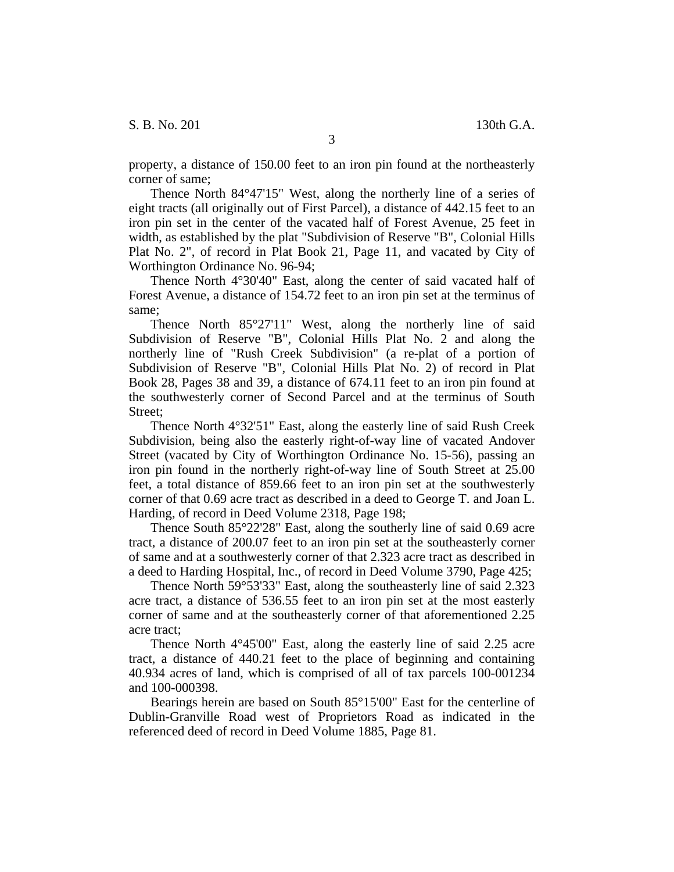property, a distance of 150.00 feet to an iron pin found at the northeasterly corner of same;

Thence North 84°47'15" West, along the northerly line of a series of eight tracts (all originally out of First Parcel), a distance of 442.15 feet to an iron pin set in the center of the vacated half of Forest Avenue, 25 feet in width, as established by the plat "Subdivision of Reserve "B", Colonial Hills Plat No. 2", of record in Plat Book 21, Page 11, and vacated by City of Worthington Ordinance No. 96-94;

Thence North 4°30'40" East, along the center of said vacated half of Forest Avenue, a distance of 154.72 feet to an iron pin set at the terminus of same;

Thence North 85°27'11" West, along the northerly line of said Subdivision of Reserve "B", Colonial Hills Plat No. 2 and along the northerly line of "Rush Creek Subdivision" (a re-plat of a portion of Subdivision of Reserve "B", Colonial Hills Plat No. 2) of record in Plat Book 28, Pages 38 and 39, a distance of 674.11 feet to an iron pin found at the southwesterly corner of Second Parcel and at the terminus of South Street;

Thence North 4°32'51" East, along the easterly line of said Rush Creek Subdivision, being also the easterly right-of-way line of vacated Andover Street (vacated by City of Worthington Ordinance No. 15-56), passing an iron pin found in the northerly right-of-way line of South Street at 25.00 feet, a total distance of 859.66 feet to an iron pin set at the southwesterly corner of that 0.69 acre tract as described in a deed to George T. and Joan L. Harding, of record in Deed Volume 2318, Page 198;

Thence South 85°22'28" East, along the southerly line of said 0.69 acre tract, a distance of 200.07 feet to an iron pin set at the southeasterly corner of same and at a southwesterly corner of that 2.323 acre tract as described in a deed to Harding Hospital, Inc., of record in Deed Volume 3790, Page 425;

Thence North 59°53'33" East, along the southeasterly line of said 2.323 acre tract, a distance of 536.55 feet to an iron pin set at the most easterly corner of same and at the southeasterly corner of that aforementioned 2.25 acre tract;

Thence North 4°45'00" East, along the easterly line of said 2.25 acre tract, a distance of 440.21 feet to the place of beginning and containing 40.934 acres of land, which is comprised of all of tax parcels 100-001234 and 100-000398.

Bearings herein are based on South 85°15'00" East for the centerline of Dublin-Granville Road west of Proprietors Road as indicated in the referenced deed of record in Deed Volume 1885, Page 81.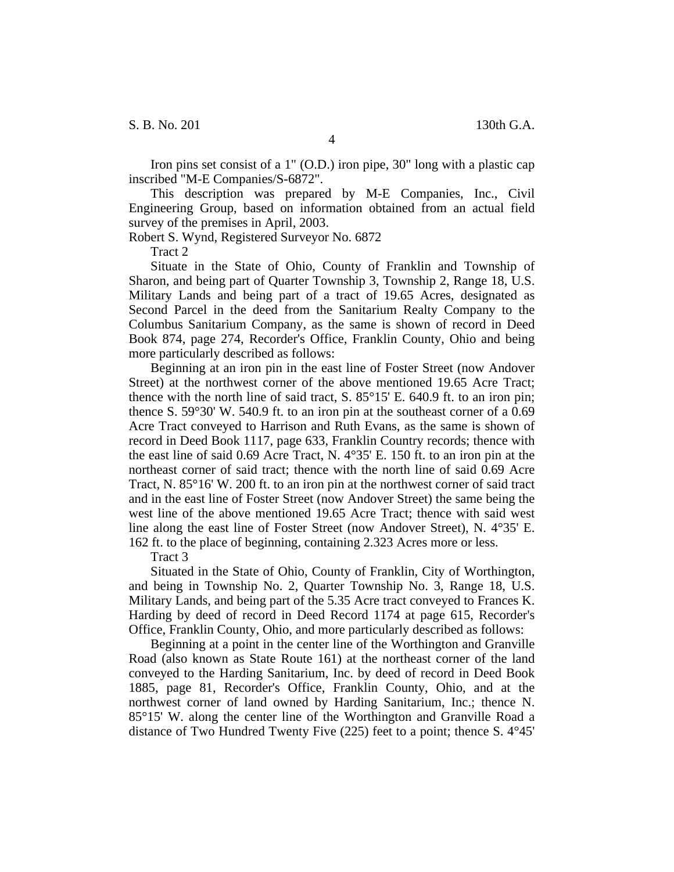S. B. No. 201 130th G.A.

4

Iron pins set consist of a 1" (O.D.) iron pipe, 30" long with a plastic cap inscribed "M-E Companies/S-6872".

This description was prepared by M-E Companies, Inc., Civil Engineering Group, based on information obtained from an actual field survey of the premises in April, 2003.

Robert S. Wynd, Registered Surveyor No. 6872

Tract 2

Situate in the State of Ohio, County of Franklin and Township of Sharon, and being part of Quarter Township 3, Township 2, Range 18, U.S. Military Lands and being part of a tract of 19.65 Acres, designated as Second Parcel in the deed from the Sanitarium Realty Company to the Columbus Sanitarium Company, as the same is shown of record in Deed Book 874, page 274, Recorder's Office, Franklin County, Ohio and being more particularly described as follows:

Beginning at an iron pin in the east line of Foster Street (now Andover Street) at the northwest corner of the above mentioned 19.65 Acre Tract; thence with the north line of said tract, S.  $85^{\circ}15'$  E. 640.9 ft. to an iron pin; thence S. 59°30' W. 540.9 ft. to an iron pin at the southeast corner of a 0.69 Acre Tract conveyed to Harrison and Ruth Evans, as the same is shown of record in Deed Book 1117, page 633, Franklin Country records; thence with the east line of said 0.69 Acre Tract, N. 4°35' E. 150 ft. to an iron pin at the northeast corner of said tract; thence with the north line of said 0.69 Acre Tract, N. 85°16' W. 200 ft. to an iron pin at the northwest corner of said tract and in the east line of Foster Street (now Andover Street) the same being the west line of the above mentioned 19.65 Acre Tract; thence with said west line along the east line of Foster Street (now Andover Street), N. 4°35' E. 162 ft. to the place of beginning, containing 2.323 Acres more or less.

Tract 3

Situated in the State of Ohio, County of Franklin, City of Worthington, and being in Township No. 2, Quarter Township No. 3, Range 18, U.S. Military Lands, and being part of the 5.35 Acre tract conveyed to Frances K. Harding by deed of record in Deed Record 1174 at page 615, Recorder's Office, Franklin County, Ohio, and more particularly described as follows:

Beginning at a point in the center line of the Worthington and Granville Road (also known as State Route 161) at the northeast corner of the land conveyed to the Harding Sanitarium, Inc. by deed of record in Deed Book 1885, page 81, Recorder's Office, Franklin County, Ohio, and at the northwest corner of land owned by Harding Sanitarium, Inc.; thence N. 85°15' W. along the center line of the Worthington and Granville Road a distance of Two Hundred Twenty Five (225) feet to a point; thence S. 4°45'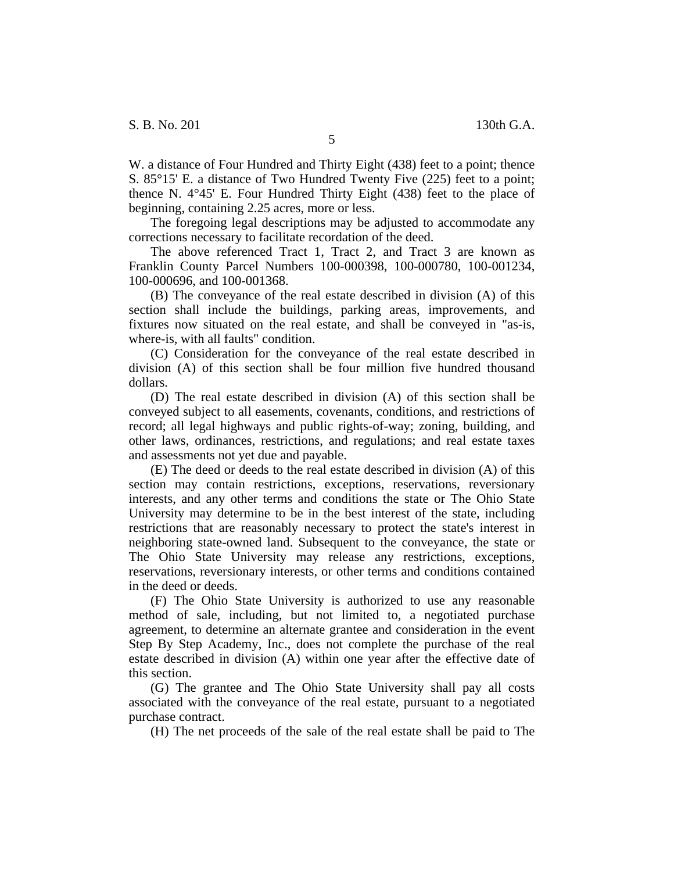W. a distance of Four Hundred and Thirty Eight (438) feet to a point; thence S. 85°15' E. a distance of Two Hundred Twenty Five (225) feet to a point; thence N. 4°45' E. Four Hundred Thirty Eight (438) feet to the place of beginning, containing 2.25 acres, more or less.

The foregoing legal descriptions may be adjusted to accommodate any corrections necessary to facilitate recordation of the deed.

The above referenced Tract 1, Tract 2, and Tract 3 are known as Franklin County Parcel Numbers 100-000398, 100-000780, 100-001234, 100-000696, and 100-001368.

(B) The conveyance of the real estate described in division (A) of this section shall include the buildings, parking areas, improvements, and fixtures now situated on the real estate, and shall be conveyed in "as-is, where-is, with all faults" condition.

(C) Consideration for the conveyance of the real estate described in division (A) of this section shall be four million five hundred thousand dollars.

(D) The real estate described in division (A) of this section shall be conveyed subject to all easements, covenants, conditions, and restrictions of record; all legal highways and public rights-of-way; zoning, building, and other laws, ordinances, restrictions, and regulations; and real estate taxes and assessments not yet due and payable.

(E) The deed or deeds to the real estate described in division (A) of this section may contain restrictions, exceptions, reservations, reversionary interests, and any other terms and conditions the state or The Ohio State University may determine to be in the best interest of the state, including restrictions that are reasonably necessary to protect the state's interest in neighboring state-owned land. Subsequent to the conveyance, the state or The Ohio State University may release any restrictions, exceptions, reservations, reversionary interests, or other terms and conditions contained in the deed or deeds.

(F) The Ohio State University is authorized to use any reasonable method of sale, including, but not limited to, a negotiated purchase agreement, to determine an alternate grantee and consideration in the event Step By Step Academy, Inc., does not complete the purchase of the real estate described in division (A) within one year after the effective date of this section.

(G) The grantee and The Ohio State University shall pay all costs associated with the conveyance of the real estate, pursuant to a negotiated purchase contract.

(H) The net proceeds of the sale of the real estate shall be paid to The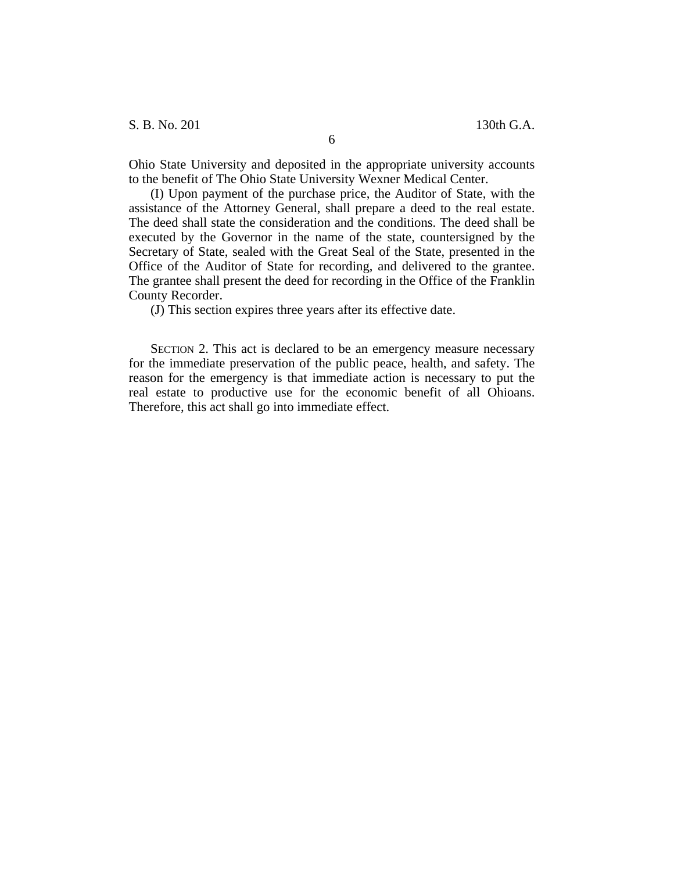S. B. No. 201 130th G.A.

Ohio State University and deposited in the appropriate university accounts to the benefit of The Ohio State University Wexner Medical Center.

(I) Upon payment of the purchase price, the Auditor of State, with the assistance of the Attorney General, shall prepare a deed to the real estate. The deed shall state the consideration and the conditions. The deed shall be executed by the Governor in the name of the state, countersigned by the Secretary of State, sealed with the Great Seal of the State, presented in the Office of the Auditor of State for recording, and delivered to the grantee. The grantee shall present the deed for recording in the Office of the Franklin County Recorder.

(J) This section expires three years after its effective date.

SECTION 2. This act is declared to be an emergency measure necessary for the immediate preservation of the public peace, health, and safety. The reason for the emergency is that immediate action is necessary to put the real estate to productive use for the economic benefit of all Ohioans. Therefore, this act shall go into immediate effect.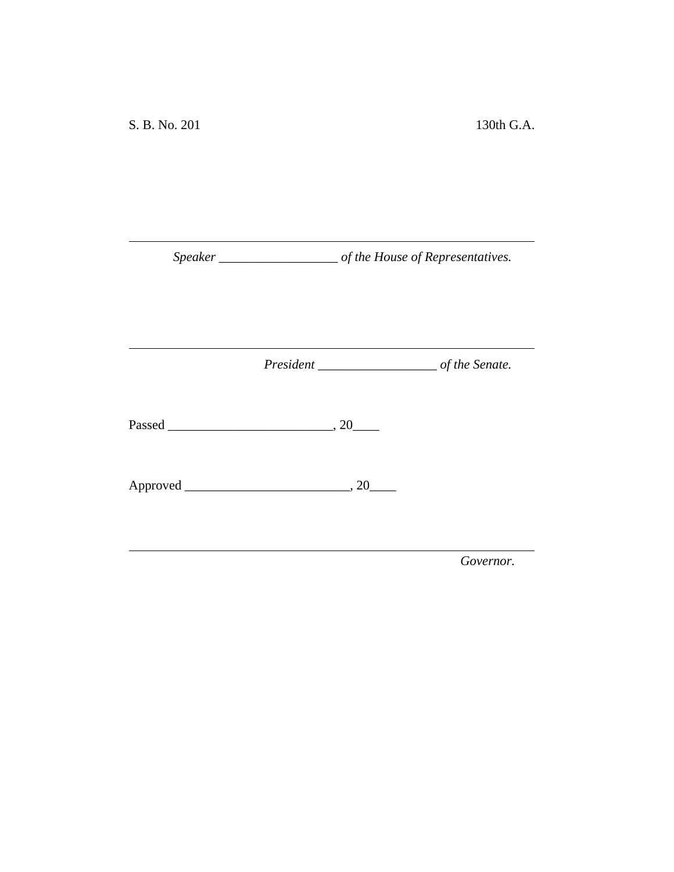*Speaker \_\_\_\_\_\_\_\_\_\_\_\_\_\_\_\_\_\_ of the House of Representatives.*

<u> 1980 - Johann Barn, mars an t-Amerikaansk kommunister (</u>

*President \_\_\_\_\_\_\_\_\_\_\_\_\_\_\_\_\_\_ of the Senate.*

<u> 1989 - Johann Barnett, fransk politiker (</u>

Passed \_\_\_\_\_\_\_\_\_\_\_\_\_\_\_\_\_\_\_\_\_\_\_\_\_, 20\_\_\_\_

Approved \_\_\_\_\_\_\_\_\_\_\_\_\_\_\_\_\_\_\_\_\_\_\_\_\_, 20\_\_\_\_

*Governor.*